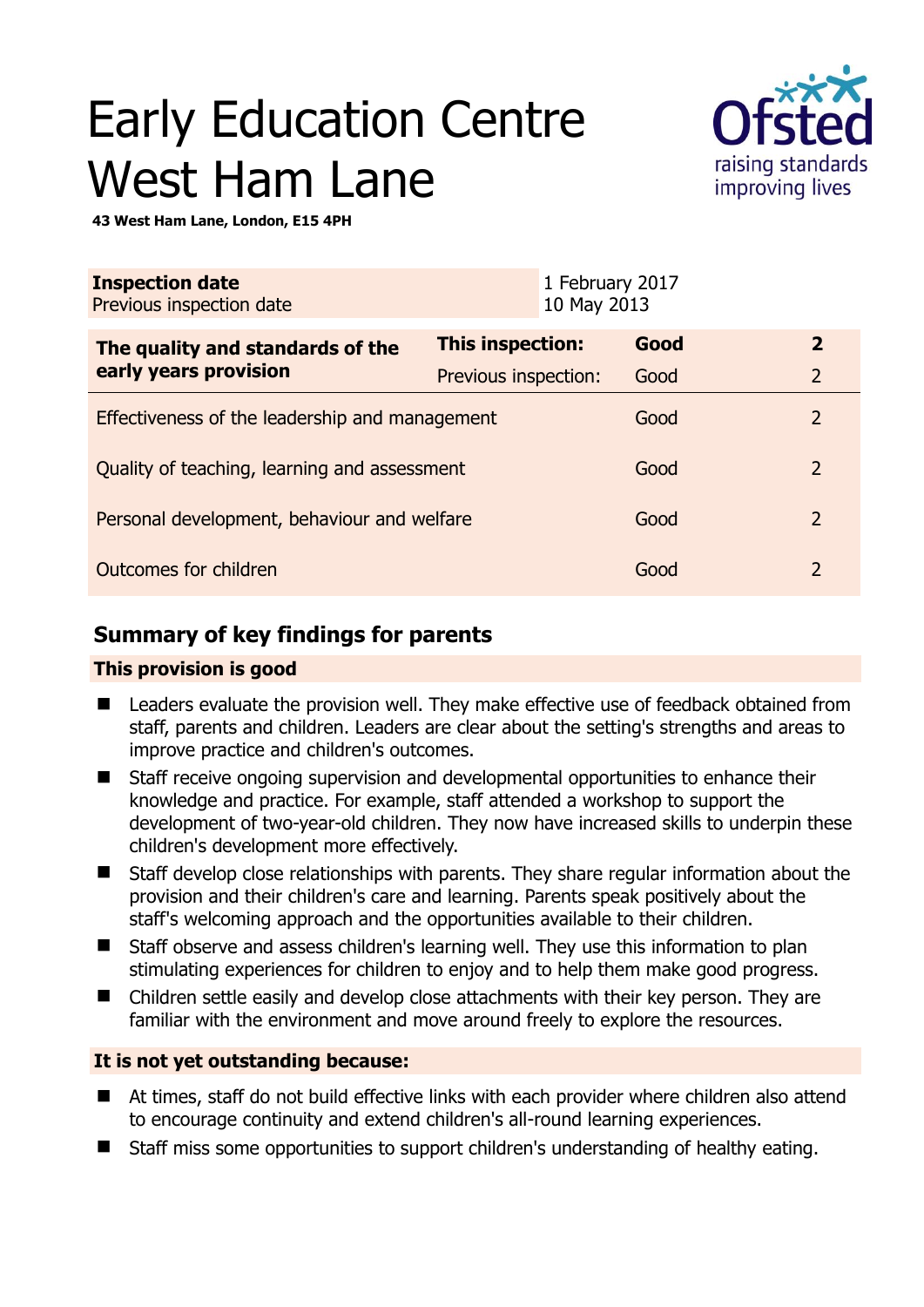# Early Education Centre West Ham Lane



**43 West Ham Lane, London, E15 4PH** 

| <b>Inspection date</b><br>Previous inspection date        | 1 February 2017<br>10 May 2013 |      |                |
|-----------------------------------------------------------|--------------------------------|------|----------------|
| The quality and standards of the<br>early years provision | This inspection:               | Good | $\overline{2}$ |
|                                                           | Previous inspection:           | Good | $\overline{2}$ |
| Effectiveness of the leadership and management            |                                | Good | $\overline{2}$ |
| Quality of teaching, learning and assessment              |                                | Good | $\overline{2}$ |
| Personal development, behaviour and welfare               |                                | Good | $\overline{2}$ |
| Outcomes for children                                     |                                | Good | $\overline{2}$ |

# **Summary of key findings for parents**

### **This provision is good**

- Leaders evaluate the provision well. They make effective use of feedback obtained from staff, parents and children. Leaders are clear about the setting's strengths and areas to improve practice and children's outcomes.
- Staff receive ongoing supervision and developmental opportunities to enhance their knowledge and practice. For example, staff attended a workshop to support the development of two-year-old children. They now have increased skills to underpin these children's development more effectively.
- Staff develop close relationships with parents. They share regular information about the provision and their children's care and learning. Parents speak positively about the staff's welcoming approach and the opportunities available to their children.
- Staff observe and assess children's learning well. They use this information to plan stimulating experiences for children to enjoy and to help them make good progress.
- Children settle easily and develop close attachments with their key person. They are familiar with the environment and move around freely to explore the resources.

## **It is not yet outstanding because:**

- At times, staff do not build effective links with each provider where children also attend to encourage continuity and extend children's all-round learning experiences.
- Staff miss some opportunities to support children's understanding of healthy eating.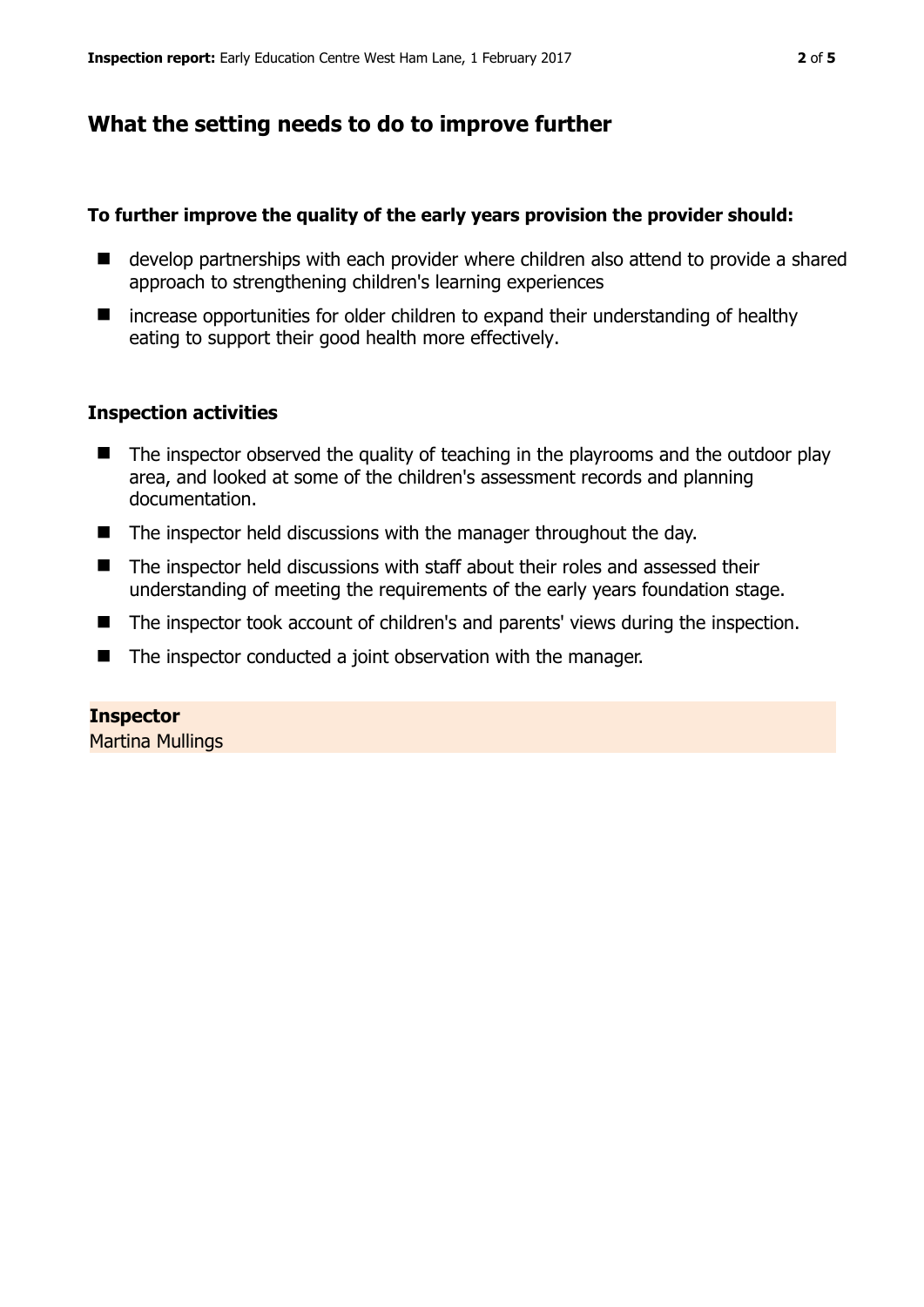## **What the setting needs to do to improve further**

#### **To further improve the quality of the early years provision the provider should:**

- develop partnerships with each provider where children also attend to provide a shared approach to strengthening children's learning experiences
- increase opportunities for older children to expand their understanding of healthy eating to support their good health more effectively.

#### **Inspection activities**

- The inspector observed the quality of teaching in the playrooms and the outdoor play area, and looked at some of the children's assessment records and planning documentation.
- $\blacksquare$  The inspector held discussions with the manager throughout the day.
- The inspector held discussions with staff about their roles and assessed their understanding of meeting the requirements of the early years foundation stage.
- The inspector took account of children's and parents' views during the inspection.
- The inspector conducted a joint observation with the manager.

#### **Inspector**

Martina Mullings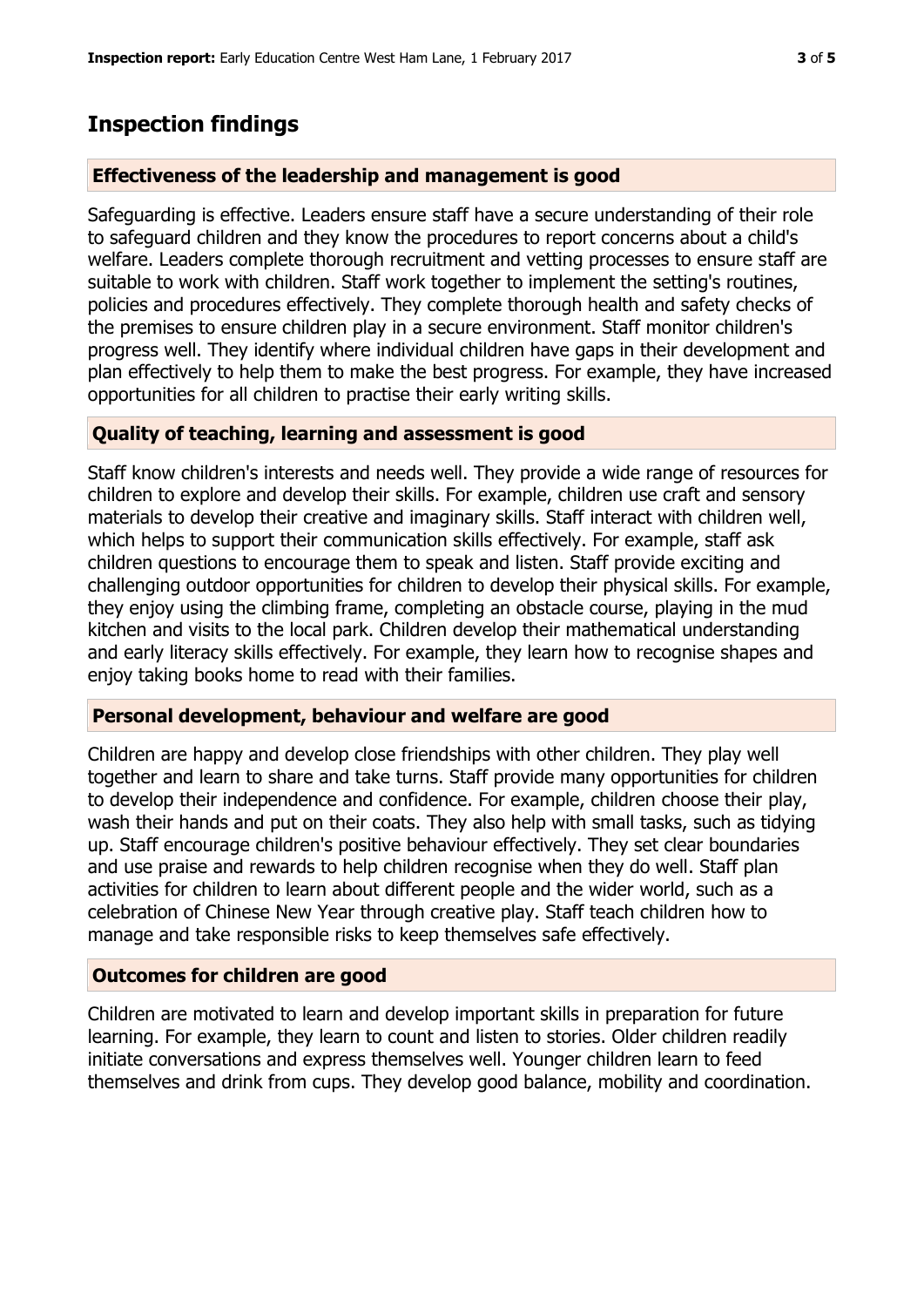## **Inspection findings**

#### **Effectiveness of the leadership and management is good**

Safeguarding is effective. Leaders ensure staff have a secure understanding of their role to safeguard children and they know the procedures to report concerns about a child's welfare. Leaders complete thorough recruitment and vetting processes to ensure staff are suitable to work with children. Staff work together to implement the setting's routines, policies and procedures effectively. They complete thorough health and safety checks of the premises to ensure children play in a secure environment. Staff monitor children's progress well. They identify where individual children have gaps in their development and plan effectively to help them to make the best progress. For example, they have increased opportunities for all children to practise their early writing skills.

#### **Quality of teaching, learning and assessment is good**

Staff know children's interests and needs well. They provide a wide range of resources for children to explore and develop their skills. For example, children use craft and sensory materials to develop their creative and imaginary skills. Staff interact with children well, which helps to support their communication skills effectively. For example, staff ask children questions to encourage them to speak and listen. Staff provide exciting and challenging outdoor opportunities for children to develop their physical skills. For example, they enjoy using the climbing frame, completing an obstacle course, playing in the mud kitchen and visits to the local park. Children develop their mathematical understanding and early literacy skills effectively. For example, they learn how to recognise shapes and enjoy taking books home to read with their families.

#### **Personal development, behaviour and welfare are good**

Children are happy and develop close friendships with other children. They play well together and learn to share and take turns. Staff provide many opportunities for children to develop their independence and confidence. For example, children choose their play, wash their hands and put on their coats. They also help with small tasks, such as tidying up. Staff encourage children's positive behaviour effectively. They set clear boundaries and use praise and rewards to help children recognise when they do well. Staff plan activities for children to learn about different people and the wider world, such as a celebration of Chinese New Year through creative play. Staff teach children how to manage and take responsible risks to keep themselves safe effectively.

#### **Outcomes for children are good**

Children are motivated to learn and develop important skills in preparation for future learning. For example, they learn to count and listen to stories. Older children readily initiate conversations and express themselves well. Younger children learn to feed themselves and drink from cups. They develop good balance, mobility and coordination.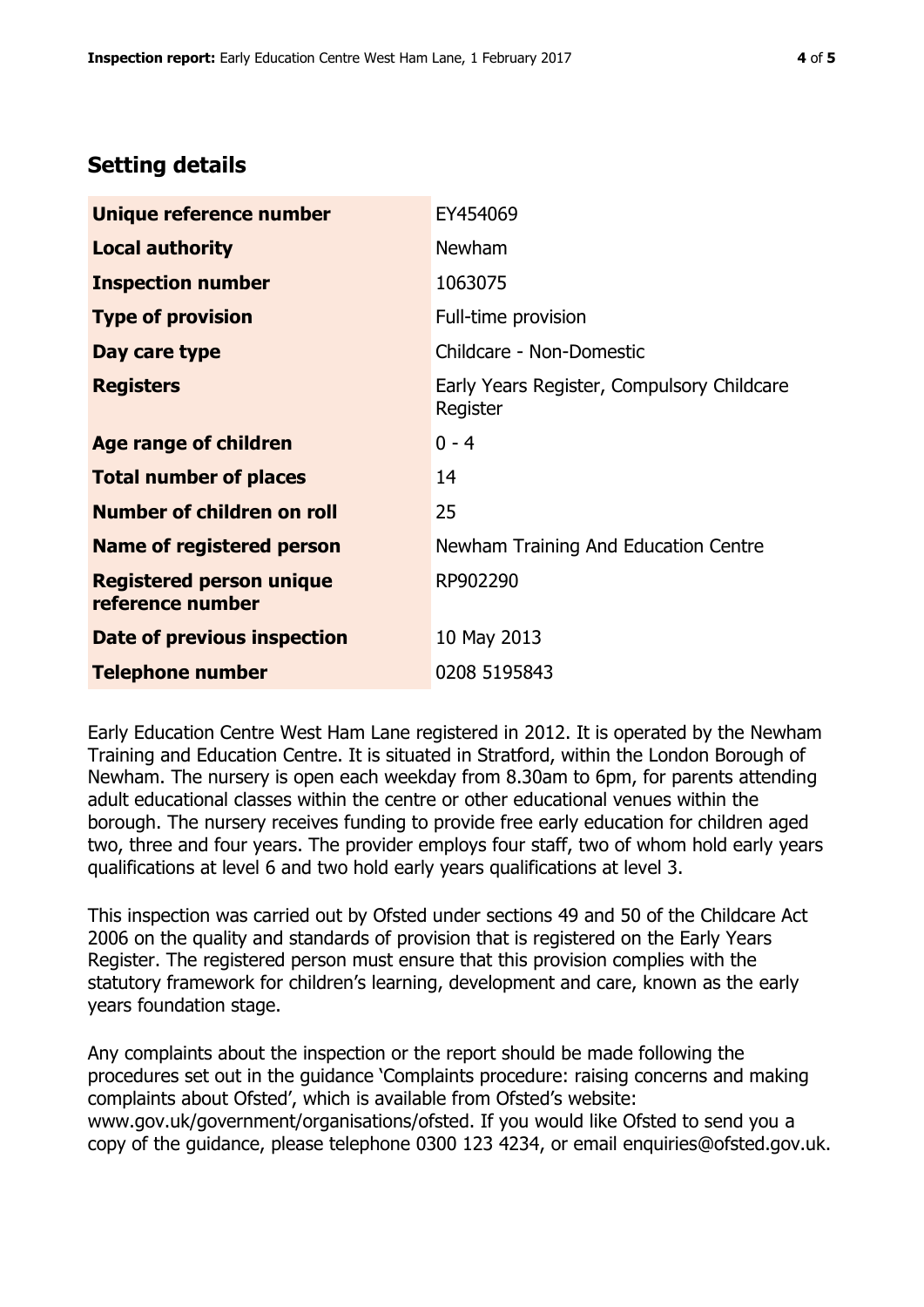# **Setting details**

| Unique reference number                             | EY454069                                               |  |
|-----------------------------------------------------|--------------------------------------------------------|--|
| <b>Local authority</b>                              | <b>Newham</b>                                          |  |
| <b>Inspection number</b>                            | 1063075                                                |  |
| <b>Type of provision</b>                            | Full-time provision                                    |  |
| Day care type                                       | Childcare - Non-Domestic                               |  |
| <b>Registers</b>                                    | Early Years Register, Compulsory Childcare<br>Register |  |
| Age range of children                               | $0 - 4$                                                |  |
| <b>Total number of places</b>                       | 14                                                     |  |
| Number of children on roll                          | 25                                                     |  |
| Name of registered person                           | Newham Training And Education Centre                   |  |
| <b>Registered person unique</b><br>reference number | RP902290                                               |  |
| Date of previous inspection                         | 10 May 2013                                            |  |
| <b>Telephone number</b>                             | 0208 5195843                                           |  |

Early Education Centre West Ham Lane registered in 2012. It is operated by the Newham Training and Education Centre. It is situated in Stratford, within the London Borough of Newham. The nursery is open each weekday from 8.30am to 6pm, for parents attending adult educational classes within the centre or other educational venues within the borough. The nursery receives funding to provide free early education for children aged two, three and four years. The provider employs four staff, two of whom hold early years qualifications at level 6 and two hold early years qualifications at level 3.

This inspection was carried out by Ofsted under sections 49 and 50 of the Childcare Act 2006 on the quality and standards of provision that is registered on the Early Years Register. The registered person must ensure that this provision complies with the statutory framework for children's learning, development and care, known as the early years foundation stage.

Any complaints about the inspection or the report should be made following the procedures set out in the guidance 'Complaints procedure: raising concerns and making complaints about Ofsted', which is available from Ofsted's website: www.gov.uk/government/organisations/ofsted. If you would like Ofsted to send you a copy of the guidance, please telephone 0300 123 4234, or email enquiries@ofsted.gov.uk.